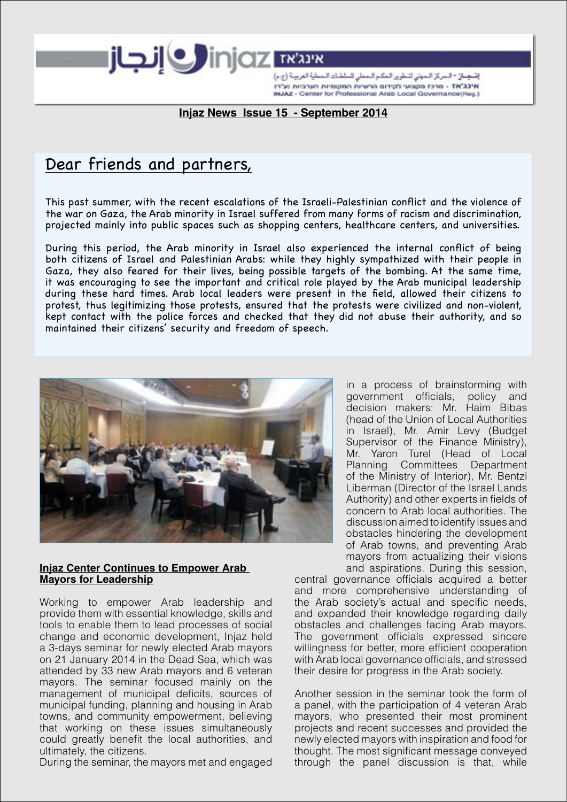إصْحِبَانَ \* المركز المهش لشعوير المكم المعلى السلطنات ال אינג'אז - מרכז מקצועי לקידום הרשיות המקומיות הערביות (ע"ר) INJAZ - Center for Professional Arab Local Governance(Reg.)

# **Injaz News Issue 15 - September 2014**

injaz <del>man</del>

# Dear friends and partners,

This past summer, with the recent escalations of the Israeli-Palestinian conflict and the violence of the war on Gaza, the Arab minority in Israel suffered from many forms of racism and discrimination, projected mainly into public spaces such as shopping centers, healthcare centers, and universities.

 During this period, the Arab minority in Israel also experienced the internal conflict of being both citizens of Israel and Palestinian Arabs: while they highly sympathized with their people in Gaza, they also feared for their lives, being possible targets of the bombing. At the same time, it was encouraging to see the important and critical role played by the Arab municipal leadership during these hard times. Arab local leaders were present in the field, allowed their citizens to protest, thus legitimizing those protests, ensured that the protests were civilized and non-violent, kept contact with the police forces and checked that they did not abuse their authority, and so maintained their citizens' security and freedom of speech.



#### **Injaz Center Continues to Empower Arab Mayors for Leadership**

Working to empower Arab leadership and provide them with essential knowledge, skills and tools to enable them to lead processes of social change and economic development, Injaz held a 3-days seminar for newly elected Arab mayors on 21 January 2014 in the Dead Sea, which was attended by 33 new Arab mayors and 6 veteran mayors. The seminar focused mainly on the management of municipal deficits, sources of municipal funding, planning and housing in Arab towns, and community empowerment, believing that working on these issues simultaneously could greatly benefit the local authorities, and ultimately, the citizens.

During the seminar, the mayors met and engaged

in a process of brainstorming with government officials, policy and decision makers: Mr. Haim Bibas (head of the Union of Local Authorities in Israel), Mr. Amir Levy (Budget Supervisor of the Finance Ministry), Mr. Yaron Turel (Head of Local Planning Committees Department of the Ministry of Interior), Mr. Bentzi Liberman (Director of the Israel Lands Authority) and other experts in fields of concern to Arab local authorities. The discussion aimed to identify issues and obstacles hindering the development of Arab towns, and preventing Arab mayors from actualizing their visions and aspirations. During this session,

central governance officials acquired a better and more comprehensive understanding of the Arab society's actual and specific needs, and expanded their knowledge regarding daily obstacles and challenges facing Arab mayors. The government officials expressed sincere willingness for better, more efficient cooperation with Arab local governance officials, and stressed their desire for progress in the Arab society.

Another session in the seminar took the form of a panel, with the participation of 4 veteran Arab mayors, who presented their most prominent projects and recent successes and provided the newly elected mayors with inspiration and food for thought. The most significant message conveyed through the panel discussion is that, while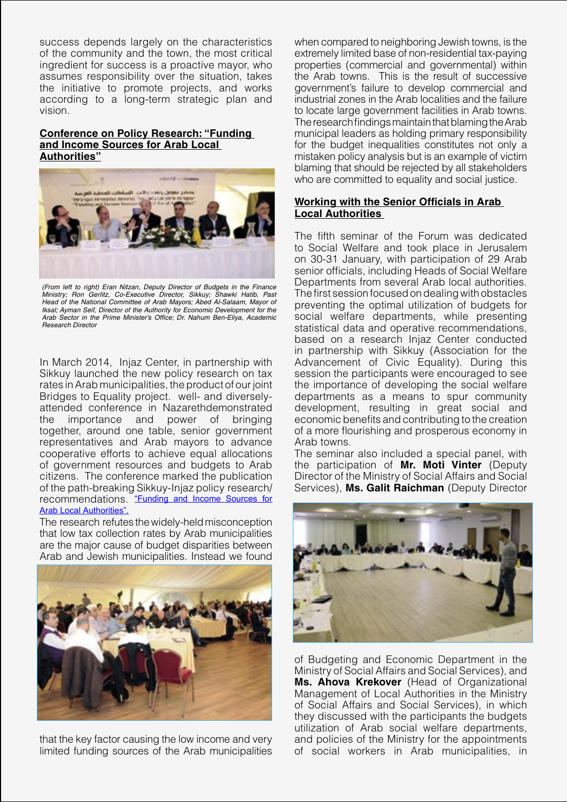success depends largely on the characteristics of the community and the town, the most critical ingredient for success is a proactive mayor, who assumes responsibility over the situation, takes the initiative to promote projects, and works according to a long-term strategic plan and vision.

## **Conference on Policy Research: "Funding and Income Sources for Arab Local Authorities"**



(From left to right) Eran Nitzan, Deputy Director of Budgets in the Finance Ministry; Ron Gerlitz, Co-Executive Director, Sikkuy; Shawki Hatib, Past Head of the National Committee of Arab Mayors; Abed Al-Salaam, Mayor of Iksal; Ayman Seif, Director of the Authority for Economic Development for the Arab Sector in the Prime Minister's Office; Dr. Nahum Ben-Eliya, Academic Research Director

In March 2014, Injaz Center, in partnership with Sikkuy launched the new policy research on tax rates in Arab municipalities, the product of our joint Bridges to Equality project. well- and diverselyattended conference in Nazarethdemonstrated the importance and power of bringing together, around one table, senior government representatives and Arab mayors to advance cooperative efforts to achieve equal allocations of government resources and budgets to Arab citizens. The conference marked the publication of the path-breaking Sikkuy-Injaz policy research/ recommendations. "Funding and Income Sources for Arab Local Authorities".

The research refutes the widely-held misconception that low tax collection rates by Arab municipalities are the major cause of budget disparities between Arab and Jewish municipalities. Instead we found



that the key factor causing the low income and very limited funding sources of the Arab municipalities when compared to neighboring Jewish towns, is the extremely limited base of non-residential tax-paying properties (commercial and governmental) within the Arab towns. This is the result of successive government's failure to develop commercial and industrial zones in the Arab localities and the failure to locate large government facilities in Arab towns. The research findings maintain that blaming the Arab municipal leaders as holding primary responsibility for the budget inequalities constitutes not only a mistaken policy analysis but is an example of victim blaming that should be rejected by all stakeholders who are committed to equality and social justice.

## **Working with the Senior Officials in Arab Local Authorities**

The fifth seminar of the Forum was dedicated to Social Welfare and took place in Jerusalem on 30-31 January, with participation of 29 Arab senior officials, including Heads of Social Welfare Departments from several Arab local authorities. The first session focused on dealing with obstacles preventing the optimal utilization of budgets for social welfare departments, while presenting statistical data and operative recommendations, based on a research Injaz Center conducted in partnership with Sikkuy (Association for the Advancement of Civic Equality). During this session the participants were encouraged to see the importance of developing the social welfare departments as a means to spur community development, resulting in great social and economic benefits and contributing to the creation of a more flourishing and prosperous economy in Arab towns.

The seminar also included a special panel, with the participation of **Mr. Moti Vinter** (Deputy Director of the Ministry of Social Affairs and Social Services), **Ms. Galit Raichman** (Deputy Director



of Budgeting and Economic Department in the Ministry of Social Affairs and Social Services), and **Ms. Ahova Krekover** (Head of Organizational Management of Local Authorities in the Ministry of Social Affairs and Social Services), in which they discussed with the participants the budgets utilization of Arab social welfare departments, and policies of the Ministry for the appointments of social workers in Arab municipalities, in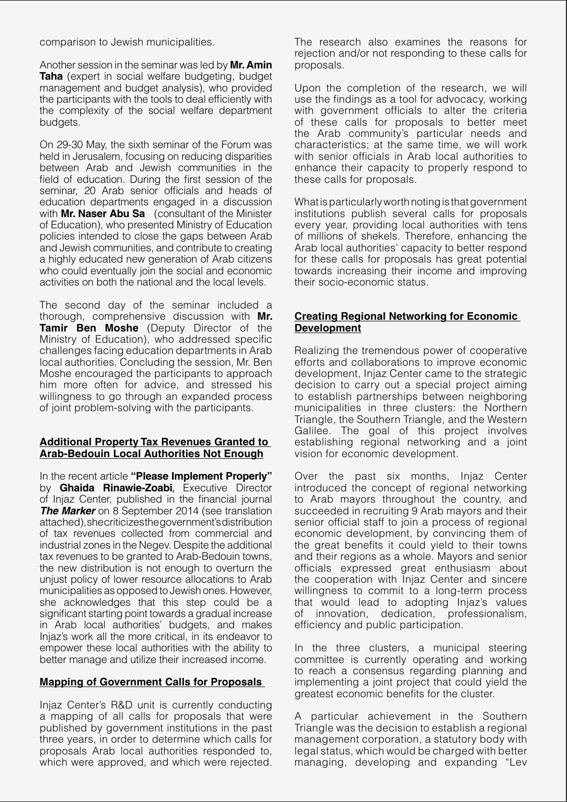comparison to Jewish municipalities.

Another session in the seminar was led by **Mr. Amin Taha** (expert in social welfare budgeting, budget management and budget analysis), who provided the participants with the tools to deal efficiently with the complexity of the social welfare department budgets.

On 29-30 May, the sixth seminar of the Forum was held in Jerusalem, focusing on reducing disparities between Arab and Jewish communities in the field of education. During the first session of the seminar, 20 Arab senior officials and heads of education departments engaged in a discussion with **Mr. Naser Abu Sa** (consultant of the Minister of Education), who presented Ministry of Education policies intended to close the gaps between Arab and Jewish communities, and contribute to creating a highly educated new generation of Arab citizens who could eventually join the social and economic activities on both the national and the local levels.

The second day of the seminar included a thorough, comprehensive discussion with **Mr. Tamir Ben Moshe** (Deputy Director of the Ministry of Education), who addressed specific challenges facing education departments in Arab local authorities. Concluding the session, Mr. Ben Moshe encouraged the participants to approach him more often for advice, and stressed his willingness to go through an expanded process of joint problem-solving with the participants.

#### **Additional Property Tax Revenues Granted to Arab-Bedouin Local Authorities Not Enough**

In the recent article **"Please Implement Properly"** by **Ghaida Rinawie-Zoabi**, Executive Director of Injaz Center, published in the financial journal **The Marker** on 8 September 2014 (see translation attached), shecriticizes the government's distribution of tax revenues collected from commercial and industrial zones in the Negev. Despite the additional tax revenues to be granted to Arab-Bedouin towns, the new distribution is not enough to overturn the unjust policy of lower resource allocations to Arab municipalities as opposed to Jewish ones. However, she acknowledges that this step could be a significant starting point towards a gradual increase in Arab local authorities' budgets, and makes Injaz's work all the more critical, in its endeavor to empower these local authorities with the ability to better manage and utilize their increased income.

## **Mapping of Government Calls for Proposals**

Injaz Center's R&D unit is currently conducting a mapping of all calls for proposals that were published by government institutions in the past three years, in order to determine which calls for proposals Arab local authorities responded to, which were approved, and which were rejected. The research also examines the reasons for rejection and/or not responding to these calls for proposals.

Upon the completion of the research, we will use the findings as a tool for advocacy, working with government officials to alter the criteria of these calls for proposals to better meet the Arab community's particular needs and characteristics; at the same time, we will work with senior officials in Arab local authorities to enhance their capacity to properly respond to these calls for proposals.

What is particularly worth noting is that government institutions publish several calls for proposals every year, providing local authorities with tens of millions of shekels. Therefore, enhancing the Arab local authorities' capacity to better respond for these calls for proposals has great potential towards increasing their income and improving their socio-economic status.

#### **Creating Regional Networking for Economic Development**

Realizing the tremendous power of cooperative efforts and collaborations to improve economic development, Injaz Center came to the strategic decision to carry out a special project aiming to establish partnerships between neighboring municipalities in three clusters: the Northern Triangle, the Southern Triangle, and the Western Galilee. The goal of this project involves establishing regional networking and a joint vision for economic development.

Over the past six months, Injaz Center introduced the concept of regional networking to Arab mayors throughout the country, and succeeded in recruiting 9 Arab mayors and their senior official staff to join a process of regional economic development, by convincing them of the great benefits it could yield to their towns and their regions as a whole. Mayors and senior officials expressed great enthusiasm about the cooperation with Injaz Center and sincere willingness to commit to a long-term process that would lead to adopting Injaz's values of innovation, dedication, professionalism, efficiency and public participation.

In the three clusters, a municipal steering committee is currently operating and working to reach a consensus regarding planning and implementing a joint project that could yield the greatest economic benefits for the cluster.

A particular achievement in the Southern Triangle was the decision to establish a regional management corporation, a statutory body with legal status, which would be charged with better managing, developing and expanding "Lev